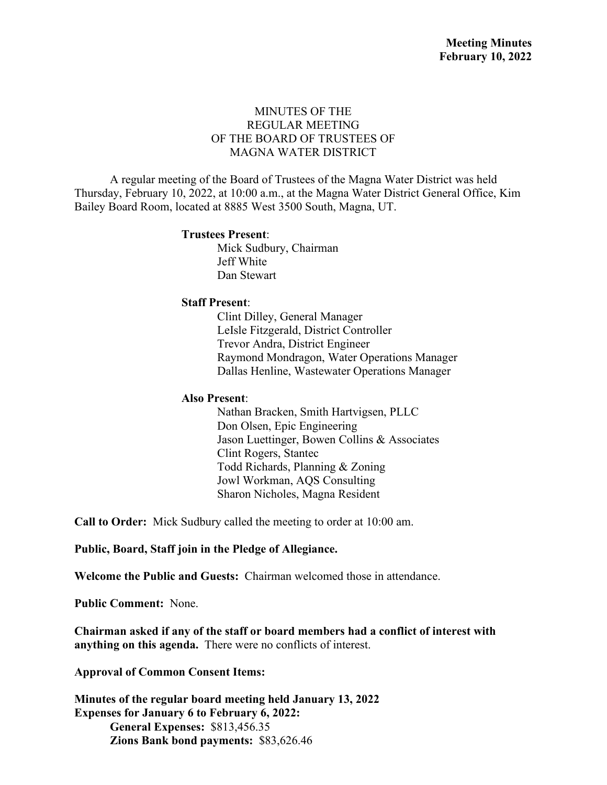## MINUTES OF THE REGULAR MEETING OF THE BOARD OF TRUSTEES OF MAGNA WATER DISTRICT

A regular meeting of the Board of Trustees of the Magna Water District was held Thursday, February 10, 2022, at 10:00 a.m., at the Magna Water District General Office, Kim Bailey Board Room, located at 8885 West 3500 South, Magna, UT.

#### **Trustees Present**:

Mick Sudbury, Chairman Jeff White Dan Stewart

### **Staff Present**:

Clint Dilley, General Manager LeIsle Fitzgerald, District Controller Trevor Andra, District Engineer Raymond Mondragon, Water Operations Manager Dallas Henline, Wastewater Operations Manager

### **Also Present**:

Nathan Bracken, Smith Hartvigsen, PLLC Don Olsen, Epic Engineering Jason Luettinger, Bowen Collins & Associates Clint Rogers, Stantec Todd Richards, Planning & Zoning Jowl Workman, AQS Consulting Sharon Nicholes, Magna Resident

**Call to Order:** Mick Sudbury called the meeting to order at 10:00 am.

**Public, Board, Staff join in the Pledge of Allegiance.**

**Welcome the Public and Guests:** Chairman welcomed those in attendance.

**Public Comment:** None.

**Chairman asked if any of the staff or board members had a conflict of interest with anything on this agenda.** There were no conflicts of interest.

**Approval of Common Consent Items:**

**Minutes of the regular board meeting held January 13, 2022 Expenses for January 6 to February 6, 2022: General Expenses:** \$813,456.35 **Zions Bank bond payments:** \$83,626.46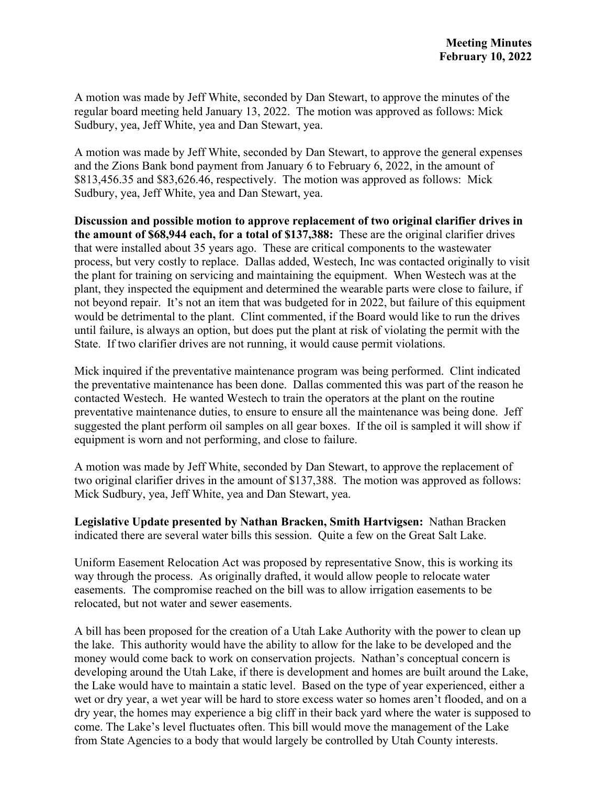A motion was made by Jeff White, seconded by Dan Stewart, to approve the minutes of the regular board meeting held January 13, 2022. The motion was approved as follows: Mick Sudbury, yea, Jeff White, yea and Dan Stewart, yea.

A motion was made by Jeff White, seconded by Dan Stewart, to approve the general expenses and the Zions Bank bond payment from January 6 to February 6, 2022, in the amount of \$813,456.35 and \$83,626.46, respectively. The motion was approved as follows: Mick Sudbury, yea, Jeff White, yea and Dan Stewart, yea.

**Discussion and possible motion to approve replacement of two original clarifier drives in the amount of \$68,944 each, for a total of \$137,388:** These are the original clarifier drives that were installed about 35 years ago. These are critical components to the wastewater process, but very costly to replace. Dallas added, Westech, Inc was contacted originally to visit the plant for training on servicing and maintaining the equipment. When Westech was at the plant, they inspected the equipment and determined the wearable parts were close to failure, if not beyond repair. It's not an item that was budgeted for in 2022, but failure of this equipment would be detrimental to the plant. Clint commented, if the Board would like to run the drives until failure, is always an option, but does put the plant at risk of violating the permit with the State. If two clarifier drives are not running, it would cause permit violations.

Mick inquired if the preventative maintenance program was being performed. Clint indicated the preventative maintenance has been done. Dallas commented this was part of the reason he contacted Westech. He wanted Westech to train the operators at the plant on the routine preventative maintenance duties, to ensure to ensure all the maintenance was being done. Jeff suggested the plant perform oil samples on all gear boxes. If the oil is sampled it will show if equipment is worn and not performing, and close to failure.

A motion was made by Jeff White, seconded by Dan Stewart, to approve the replacement of two original clarifier drives in the amount of \$137,388. The motion was approved as follows: Mick Sudbury, yea, Jeff White, yea and Dan Stewart, yea.

**Legislative Update presented by Nathan Bracken, Smith Hartvigsen:** Nathan Bracken indicated there are several water bills this session. Quite a few on the Great Salt Lake.

Uniform Easement Relocation Act was proposed by representative Snow, this is working its way through the process. As originally drafted, it would allow people to relocate water easements. The compromise reached on the bill was to allow irrigation easements to be relocated, but not water and sewer easements.

A bill has been proposed for the creation of a Utah Lake Authority with the power to clean up the lake. This authority would have the ability to allow for the lake to be developed and the money would come back to work on conservation projects. Nathan's conceptual concern is developing around the Utah Lake, if there is development and homes are built around the Lake, the Lake would have to maintain a static level. Based on the type of year experienced, either a wet or dry year, a wet year will be hard to store excess water so homes aren't flooded, and on a dry year, the homes may experience a big cliff in their back yard where the water is supposed to come. The Lake's level fluctuates often. This bill would move the management of the Lake from State Agencies to a body that would largely be controlled by Utah County interests.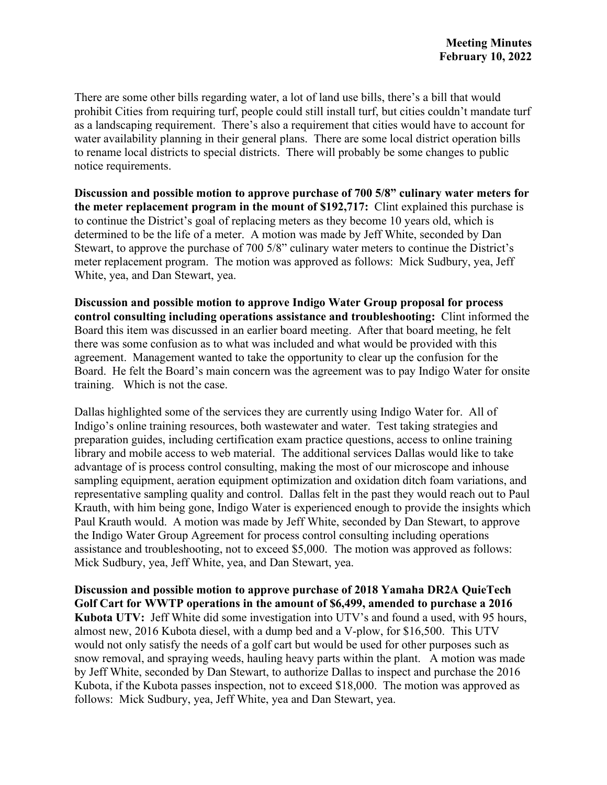There are some other bills regarding water, a lot of land use bills, there's a bill that would prohibit Cities from requiring turf, people could still install turf, but cities couldn't mandate turf as a landscaping requirement. There's also a requirement that cities would have to account for water availability planning in their general plans. There are some local district operation bills to rename local districts to special districts. There will probably be some changes to public notice requirements.

**Discussion and possible motion to approve purchase of 700 5/8" culinary water meters for the meter replacement program in the mount of \$192,717:** Clint explained this purchase is to continue the District's goal of replacing meters as they become 10 years old, which is determined to be the life of a meter. A motion was made by Jeff White, seconded by Dan Stewart, to approve the purchase of 700 5/8" culinary water meters to continue the District's meter replacement program. The motion was approved as follows: Mick Sudbury, yea, Jeff White, yea, and Dan Stewart, yea.

**Discussion and possible motion to approve Indigo Water Group proposal for process control consulting including operations assistance and troubleshooting:** Clint informed the Board this item was discussed in an earlier board meeting. After that board meeting, he felt there was some confusion as to what was included and what would be provided with this agreement. Management wanted to take the opportunity to clear up the confusion for the Board. He felt the Board's main concern was the agreement was to pay Indigo Water for onsite training. Which is not the case.

Dallas highlighted some of the services they are currently using Indigo Water for. All of Indigo's online training resources, both wastewater and water. Test taking strategies and preparation guides, including certification exam practice questions, access to online training library and mobile access to web material. The additional services Dallas would like to take advantage of is process control consulting, making the most of our microscope and inhouse sampling equipment, aeration equipment optimization and oxidation ditch foam variations, and representative sampling quality and control. Dallas felt in the past they would reach out to Paul Krauth, with him being gone, Indigo Water is experienced enough to provide the insights which Paul Krauth would. A motion was made by Jeff White, seconded by Dan Stewart, to approve the Indigo Water Group Agreement for process control consulting including operations assistance and troubleshooting, not to exceed \$5,000. The motion was approved as follows: Mick Sudbury, yea, Jeff White, yea, and Dan Stewart, yea.

**Discussion and possible motion to approve purchase of 2018 Yamaha DR2A QuieTech Golf Cart for WWTP operations in the amount of \$6,499, amended to purchase a 2016 Kubota UTV:** Jeff White did some investigation into UTV's and found a used, with 95 hours, almost new, 2016 Kubota diesel, with a dump bed and a V-plow, for \$16,500. This UTV would not only satisfy the needs of a golf cart but would be used for other purposes such as snow removal, and spraying weeds, hauling heavy parts within the plant. A motion was made by Jeff White, seconded by Dan Stewart, to authorize Dallas to inspect and purchase the 2016 Kubota, if the Kubota passes inspection, not to exceed \$18,000. The motion was approved as follows: Mick Sudbury, yea, Jeff White, yea and Dan Stewart, yea.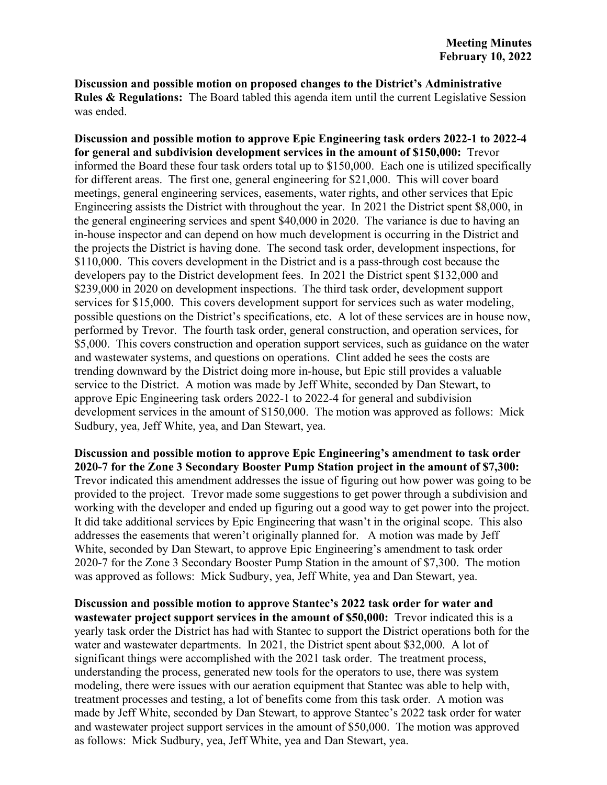**Discussion and possible motion on proposed changes to the District's Administrative Rules & Regulations:** The Board tabled this agenda item until the current Legislative Session was ended.

**Discussion and possible motion to approve Epic Engineering task orders 2022-1 to 2022-4 for general and subdivision development services in the amount of \$150,000:** Trevor informed the Board these four task orders total up to \$150,000. Each one is utilized specifically for different areas. The first one, general engineering for \$21,000. This will cover board meetings, general engineering services, easements, water rights, and other services that Epic Engineering assists the District with throughout the year. In 2021 the District spent \$8,000, in the general engineering services and spent \$40,000 in 2020. The variance is due to having an in-house inspector and can depend on how much development is occurring in the District and the projects the District is having done. The second task order, development inspections, for \$110,000. This covers development in the District and is a pass-through cost because the developers pay to the District development fees. In 2021 the District spent \$132,000 and \$239,000 in 2020 on development inspections. The third task order, development support services for \$15,000. This covers development support for services such as water modeling, possible questions on the District's specifications, etc. A lot of these services are in house now, performed by Trevor. The fourth task order, general construction, and operation services, for \$5,000. This covers construction and operation support services, such as guidance on the water and wastewater systems, and questions on operations. Clint added he sees the costs are trending downward by the District doing more in-house, but Epic still provides a valuable service to the District. A motion was made by Jeff White, seconded by Dan Stewart, to approve Epic Engineering task orders 2022-1 to 2022-4 for general and subdivision development services in the amount of \$150,000. The motion was approved as follows: Mick Sudbury, yea, Jeff White, yea, and Dan Stewart, yea.

**Discussion and possible motion to approve Epic Engineering's amendment to task order 2020-7 for the Zone 3 Secondary Booster Pump Station project in the amount of \$7,300:**  Trevor indicated this amendment addresses the issue of figuring out how power was going to be provided to the project. Trevor made some suggestions to get power through a subdivision and working with the developer and ended up figuring out a good way to get power into the project. It did take additional services by Epic Engineering that wasn't in the original scope. This also addresses the easements that weren't originally planned for. A motion was made by Jeff White, seconded by Dan Stewart, to approve Epic Engineering's amendment to task order 2020-7 for the Zone 3 Secondary Booster Pump Station in the amount of \$7,300. The motion was approved as follows: Mick Sudbury, yea, Jeff White, yea and Dan Stewart, yea.

**Discussion and possible motion to approve Stantec's 2022 task order for water and wastewater project support services in the amount of \$50,000:** Trevor indicated this is a yearly task order the District has had with Stantec to support the District operations both for the water and wastewater departments. In 2021, the District spent about \$32,000. A lot of significant things were accomplished with the 2021 task order. The treatment process, understanding the process, generated new tools for the operators to use, there was system modeling, there were issues with our aeration equipment that Stantec was able to help with, treatment processes and testing, a lot of benefits come from this task order. A motion was made by Jeff White, seconded by Dan Stewart, to approve Stantec's 2022 task order for water and wastewater project support services in the amount of \$50,000. The motion was approved as follows: Mick Sudbury, yea, Jeff White, yea and Dan Stewart, yea.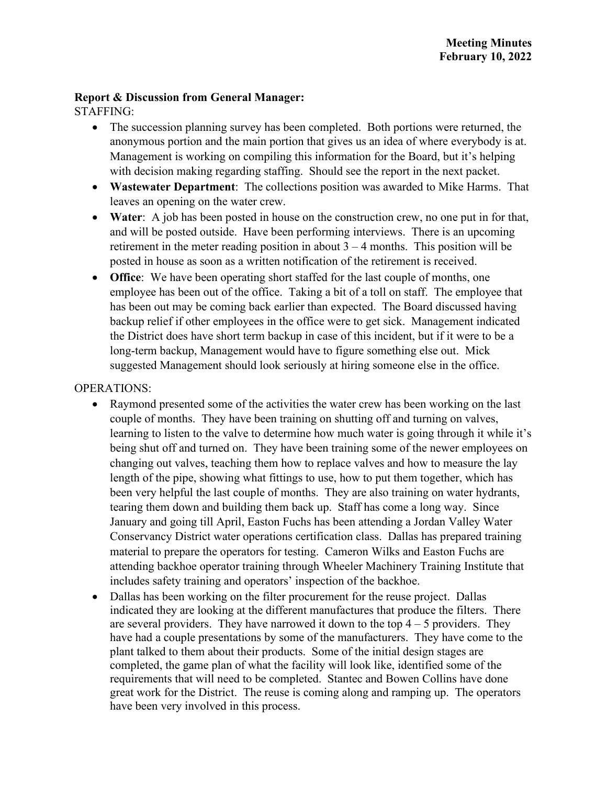## **Report & Discussion from General Manager:**

STAFFING:

- The succession planning survey has been completed. Both portions were returned, the anonymous portion and the main portion that gives us an idea of where everybody is at. Management is working on compiling this information for the Board, but it's helping with decision making regarding staffing. Should see the report in the next packet.
- **Wastewater Department**: The collections position was awarded to Mike Harms. That leaves an opening on the water crew.
- **Water**: A job has been posted in house on the construction crew, no one put in for that, and will be posted outside. Have been performing interviews. There is an upcoming retirement in the meter reading position in about  $3 - 4$  months. This position will be posted in house as soon as a written notification of the retirement is received.
- **Office**: We have been operating short staffed for the last couple of months, one employee has been out of the office. Taking a bit of a toll on staff. The employee that has been out may be coming back earlier than expected. The Board discussed having backup relief if other employees in the office were to get sick. Management indicated the District does have short term backup in case of this incident, but if it were to be a long-term backup, Management would have to figure something else out. Mick suggested Management should look seriously at hiring someone else in the office.

# OPERATIONS:

- Raymond presented some of the activities the water crew has been working on the last couple of months. They have been training on shutting off and turning on valves, learning to listen to the valve to determine how much water is going through it while it's being shut off and turned on. They have been training some of the newer employees on changing out valves, teaching them how to replace valves and how to measure the lay length of the pipe, showing what fittings to use, how to put them together, which has been very helpful the last couple of months. They are also training on water hydrants, tearing them down and building them back up. Staff has come a long way. Since January and going till April, Easton Fuchs has been attending a Jordan Valley Water Conservancy District water operations certification class. Dallas has prepared training material to prepare the operators for testing. Cameron Wilks and Easton Fuchs are attending backhoe operator training through Wheeler Machinery Training Institute that includes safety training and operators' inspection of the backhoe.
- Dallas has been working on the filter procurement for the reuse project. Dallas indicated they are looking at the different manufactures that produce the filters. There are several providers. They have narrowed it down to the top  $4 - 5$  providers. They have had a couple presentations by some of the manufacturers. They have come to the plant talked to them about their products. Some of the initial design stages are completed, the game plan of what the facility will look like, identified some of the requirements that will need to be completed. Stantec and Bowen Collins have done great work for the District. The reuse is coming along and ramping up. The operators have been very involved in this process.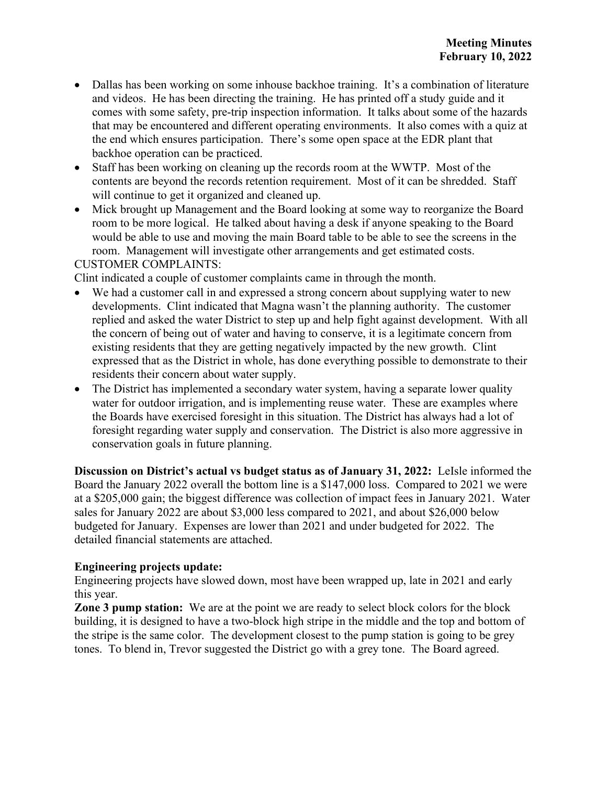- Dallas has been working on some inhouse backhoe training. It's a combination of literature and videos. He has been directing the training. He has printed off a study guide and it comes with some safety, pre-trip inspection information. It talks about some of the hazards that may be encountered and different operating environments. It also comes with a quiz at the end which ensures participation. There's some open space at the EDR plant that backhoe operation can be practiced.
- Staff has been working on cleaning up the records room at the WWTP. Most of the contents are beyond the records retention requirement. Most of it can be shredded. Staff will continue to get it organized and cleaned up.
- Mick brought up Management and the Board looking at some way to reorganize the Board room to be more logical. He talked about having a desk if anyone speaking to the Board would be able to use and moving the main Board table to be able to see the screens in the room. Management will investigate other arrangements and get estimated costs.

CUSTOMER COMPLAINTS:

Clint indicated a couple of customer complaints came in through the month.

- We had a customer call in and expressed a strong concern about supplying water to new developments. Clint indicated that Magna wasn't the planning authority. The customer replied and asked the water District to step up and help fight against development. With all the concern of being out of water and having to conserve, it is a legitimate concern from existing residents that they are getting negatively impacted by the new growth. Clint expressed that as the District in whole, has done everything possible to demonstrate to their residents their concern about water supply.
- The District has implemented a secondary water system, having a separate lower quality water for outdoor irrigation, and is implementing reuse water. These are examples where the Boards have exercised foresight in this situation. The District has always had a lot of foresight regarding water supply and conservation. The District is also more aggressive in conservation goals in future planning.

**Discussion on District's actual vs budget status as of January 31, 2022:** LeIsle informed the Board the January 2022 overall the bottom line is a \$147,000 loss. Compared to 2021 we were at a \$205,000 gain; the biggest difference was collection of impact fees in January 2021. Water sales for January 2022 are about \$3,000 less compared to 2021, and about \$26,000 below budgeted for January. Expenses are lower than 2021 and under budgeted for 2022. The detailed financial statements are attached.

## **Engineering projects update:**

Engineering projects have slowed down, most have been wrapped up, late in 2021 and early this year.

**Zone 3 pump station:** We are at the point we are ready to select block colors for the block building, it is designed to have a two-block high stripe in the middle and the top and bottom of the stripe is the same color. The development closest to the pump station is going to be grey tones. To blend in, Trevor suggested the District go with a grey tone. The Board agreed.